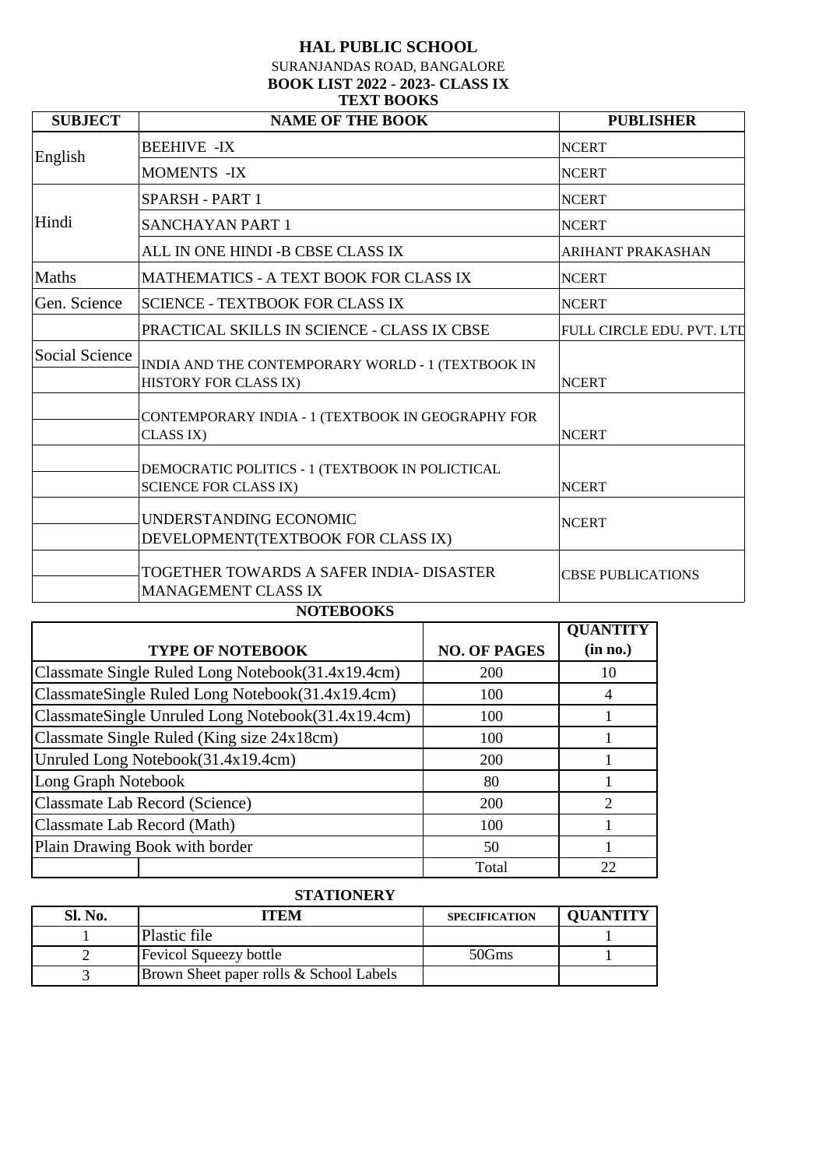#### SURANJANDAS ROAD, BANGALORE **BOOK LIST 2022 - 2023- CLASS IX TEXT BOOKS**

| <b>SUBJECT</b> | <b>NAME OF THE BOOK</b>                                                         | <b>PUBLISHER</b>          |
|----------------|---------------------------------------------------------------------------------|---------------------------|
| English        | <b>BEEHIVE -IX</b>                                                              | <b>NCERT</b>              |
|                | <b>MOMENTS -IX</b>                                                              | <b>NCERT</b>              |
|                | SPARSH - PART 1                                                                 | <b>NCERT</b>              |
| Hindi          | <b>SANCHAYAN PART 1</b>                                                         | <b>NCERT</b>              |
|                | ALL IN ONE HINDI -B CBSE CLASS IX                                               | ARIHANT PRAKASHAN         |
| Maths          | <b>MATHEMATICS - A TEXT BOOK FOR CLASS IX</b>                                   | <b>NCERT</b>              |
| Gen. Science   | <b>SCIENCE - TEXTBOOK FOR CLASS IX</b>                                          | <b>NCERT</b>              |
|                | PRACTICAL SKILLS IN SCIENCE - CLASS IX CBSE                                     | FULL CIRCLE EDU. PVT. LTD |
| Social Science | INDIA AND THE CONTEMPORARY WORLD - 1 (TEXTBOOK IN<br>HISTORY FOR CLASS IX)      | <b>NCERT</b>              |
|                | CONTEMPORARY INDIA - 1 (TEXTBOOK IN GEOGRAPHY FOR<br>CLASS IX)                  | <b>NCERT</b>              |
|                | DEMOCRATIC POLITICS - 1 (TEXTBOOK IN POLICTICAL<br><b>SCIENCE FOR CLASS IX)</b> | <b>NCERT</b>              |
|                | UNDERSTANDING ECONOMIC<br>DEVELOPMENT(TEXTBOOK FOR CLASS IX)                    | <b>NCERT</b>              |
|                | TOGETHER TOWARDS A SAFER INDIA- DISASTER<br><b>MANAGEMENT CLASS IX</b>          | <b>CBSE PUBLICATIONS</b>  |

#### **NOTEBOOKS**

|                                                    |                     | <b>QUANTITY</b> |
|----------------------------------------------------|---------------------|-----------------|
| <b>TYPE OF NOTEBOOK</b>                            | <b>NO. OF PAGES</b> | (in no.)        |
| Classmate Single Ruled Long Notebook(31.4x19.4cm)  | 200                 | 10              |
| ClassmateSingle Ruled Long Notebook(31.4x19.4cm)   | 100                 | 4               |
| ClassmateSingle Unruled Long Notebook(31.4x19.4cm) | 100                 |                 |
| Classmate Single Ruled (King size 24x18cm)         | 100                 |                 |
| Unruled Long Notebook(31.4x19.4cm)                 | 200                 |                 |
| Long Graph Notebook                                | 80                  |                 |
| Classmate Lab Record (Science)                     | 200                 |                 |
| Classmate Lab Record (Math)                        | 100                 |                 |
| Plain Drawing Book with border                     | 50                  |                 |
|                                                    | Total               |                 |

### **STATIONERY**

| Sl. No. | ITEM                                    | <b>SPECIFICATION</b> | <b>OUANTITY</b> |
|---------|-----------------------------------------|----------------------|-----------------|
|         | Plastic file                            |                      |                 |
|         | <b>Fevicol Squeezy bottle</b>           | 50Gms                |                 |
|         | Brown Sheet paper rolls & School Labels |                      |                 |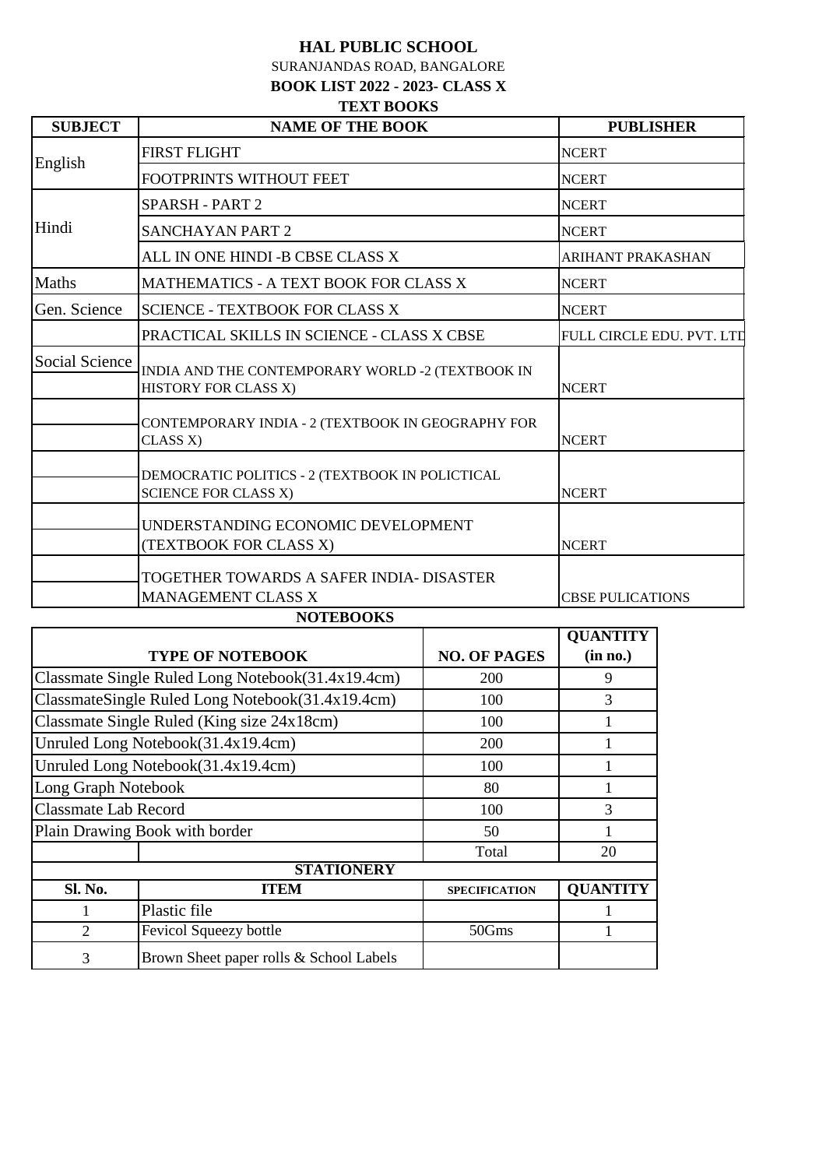SURANJANDAS ROAD, BANGALORE **BOOK LIST 2022 - 2023- CLASS X TEXT BOOKS**

| <b>SUBJECT</b> | <b>NAME OF THE BOOK</b>                                                        | <b>PUBLISHER</b>          |
|----------------|--------------------------------------------------------------------------------|---------------------------|
| English        | <b>FIRST FLIGHT</b>                                                            | <b>NCERT</b>              |
|                | FOOTPRINTS WITHOUT FEET                                                        | <b>NCERT</b>              |
|                | <b>SPARSH - PART 2</b>                                                         | <b>NCERT</b>              |
| Hindi          | <b>SANCHAYAN PART 2</b>                                                        | <b>NCERT</b>              |
|                | ALL IN ONE HINDI -B CBSE CLASS X                                               | <b>ARIHANT PRAKASHAN</b>  |
| <b>Maths</b>   | MATHEMATICS - A TEXT BOOK FOR CLASS X                                          | <b>NCERT</b>              |
| Gen. Science   | <b>SCIENCE - TEXTBOOK FOR CLASS X</b>                                          | <b>NCERT</b>              |
|                | PRACTICAL SKILLS IN SCIENCE - CLASS X CBSE                                     | FULL CIRCLE EDU. PVT. LTD |
| Social Science | INDIA AND THE CONTEMPORARY WORLD -2 (TEXTBOOK IN<br>HISTORY FOR CLASS X)       | <b>NCERT</b>              |
|                | CONTEMPORARY INDIA - 2 (TEXTBOOK IN GEOGRAPHY FOR<br>CLASS X)                  | <b>NCERT</b>              |
|                | DEMOCRATIC POLITICS - 2 (TEXTBOOK IN POLICTICAL<br><b>SCIENCE FOR CLASS X)</b> | <b>NCERT</b>              |
|                | UNDERSTANDING ECONOMIC DEVELOPMENT<br>(TEXTBOOK FOR CLASS X)                   | <b>NCERT</b>              |
|                | TOGETHER TOWARDS A SAFER INDIA- DISASTER<br>MANAGEMENT CLASS X                 | <b>CBSE PULICATIONS</b>   |

#### **NOTEBOOKS**

|                             |                                                   |                      | <b>QUANTITY</b> |  |
|-----------------------------|---------------------------------------------------|----------------------|-----------------|--|
|                             | <b>TYPE OF NOTEBOOK</b>                           | <b>NO. OF PAGES</b>  | (in no.)        |  |
|                             | Classmate Single Ruled Long Notebook(31.4x19.4cm) | 200                  | 9               |  |
|                             | ClassmateSingle Ruled Long Notebook(31.4x19.4cm)  | 100                  | 3               |  |
|                             | Classmate Single Ruled (King size 24x18cm)        | 100                  |                 |  |
|                             | Unruled Long Notebook(31.4x19.4cm)                | 200                  |                 |  |
|                             | Unruled Long Notebook(31.4x19.4cm)                | 100                  |                 |  |
| Long Graph Notebook         |                                                   | 80                   |                 |  |
| <b>Classmate Lab Record</b> |                                                   | 100                  | 3               |  |
|                             | Plain Drawing Book with border                    | 50                   |                 |  |
|                             |                                                   | Total                | 20              |  |
|                             | <b>STATIONERY</b>                                 |                      |                 |  |
| Sl. No.                     | <b>ITEM</b>                                       | <b>SPECIFICATION</b> | <b>QUANTITY</b> |  |
|                             | Plastic file                                      |                      |                 |  |
| $\overline{2}$              | Fevicol Squeezy bottle                            | 50Gms                | 1               |  |
| 3                           | Brown Sheet paper rolls & School Labels           |                      |                 |  |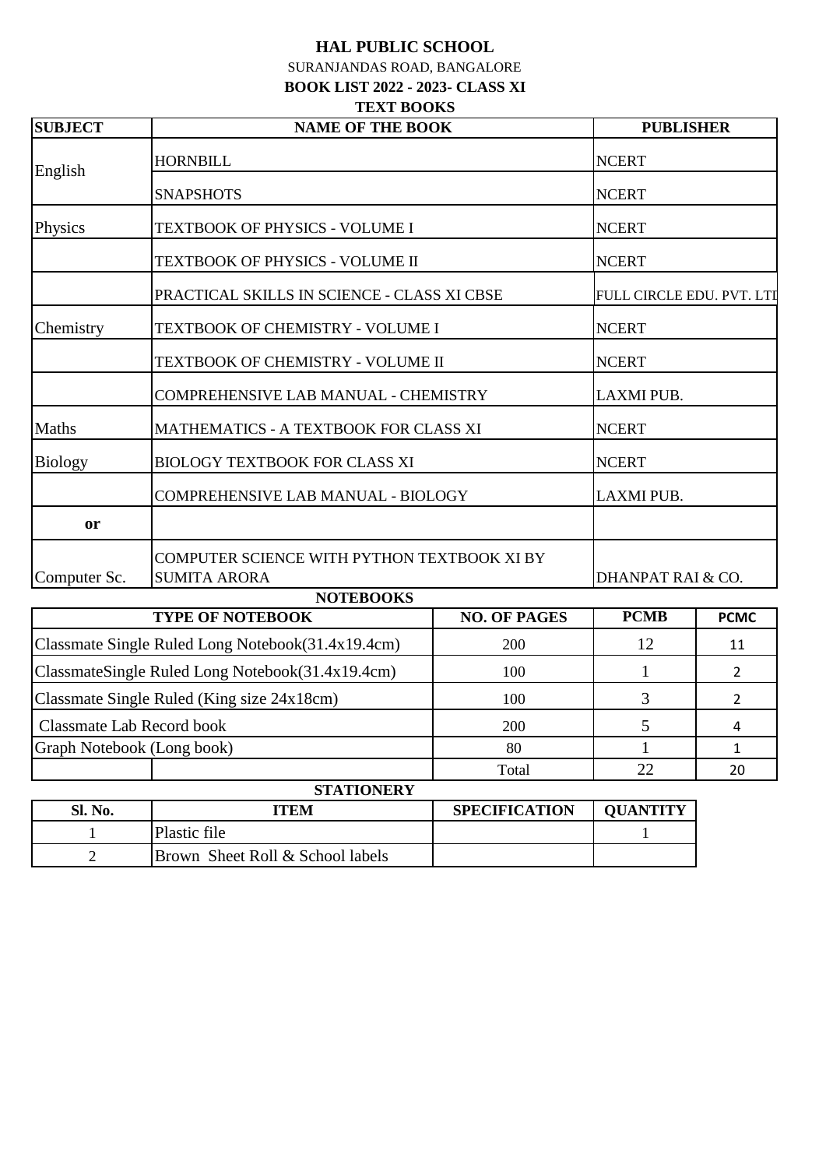SURANJANDAS ROAD, BANGALORE **BOOK LIST 2022 - 2023- CLASS XI**

#### **TEXT BOOKS**

| <b>SUBJECT</b> | <b>NAME OF THE BOOK</b>                                            |                     | <b>PUBLISHER</b>          |             |
|----------------|--------------------------------------------------------------------|---------------------|---------------------------|-------------|
| English        | <b>HORNBILL</b>                                                    |                     | <b>NCERT</b>              |             |
|                | <b>SNAPSHOTS</b>                                                   |                     | <b>NCERT</b>              |             |
| Physics        | TEXTBOOK OF PHYSICS - VOLUME I                                     |                     | <b>NCERT</b>              |             |
|                | TEXTBOOK OF PHYSICS - VOLUME II                                    |                     | <b>NCERT</b>              |             |
|                | PRACTICAL SKILLS IN SCIENCE - CLASS XI CBSE                        |                     | FULL CIRCLE EDU. PVT. LTI |             |
| Chemistry      | TEXTBOOK OF CHEMISTRY - VOLUME I                                   |                     | <b>NCERT</b>              |             |
|                | TEXTBOOK OF CHEMISTRY - VOLUME II                                  |                     | <b>NCERT</b>              |             |
|                | COMPREHENSIVE LAB MANUAL - CHEMISTRY                               |                     | LAXMI PUB.                |             |
| <b>Maths</b>   | MATHEMATICS - A TEXTBOOK FOR CLASS XI                              |                     | <b>NCERT</b>              |             |
| <b>Biology</b> | <b>BIOLOGY TEXTBOOK FOR CLASS XI</b>                               |                     | <b>NCERT</b>              |             |
|                | COMPREHENSIVE LAB MANUAL - BIOLOGY                                 |                     | <b>LAXMI PUB.</b>         |             |
| or             |                                                                    |                     |                           |             |
| Computer Sc.   | COMPUTER SCIENCE WITH PYTHON TEXTBOOK XI BY<br><b>SUMITA ARORA</b> |                     | DHANPAT RAI & CO.         |             |
|                | <b>NOTEBOOKS</b>                                                   |                     |                           |             |
|                | <b>TYPE OF NOTEBOOK</b>                                            | <b>NO. OF PAGES</b> | <b>PCMB</b>               | <b>PCMC</b> |

| I YPE OF NOTEBOOK                                 | NO. OF PAGES | <b>FUJVID</b> | <b>PCMC</b> |
|---------------------------------------------------|--------------|---------------|-------------|
| Classmate Single Ruled Long Notebook(31.4x19.4cm) | <b>200</b>   |               | 11          |
| ClassmateSingle Ruled Long Notebook(31.4x19.4cm)  | 100          |               |             |
| Classmate Single Ruled (King size 24x18cm)        | 100          |               |             |
| Classmate Lab Record book                         | 200          |               |             |
| Graph Notebook (Long book)                        | 80           |               |             |
|                                                   | Total        | າາ            | 20          |
| <b>CTATIONEDV</b>                                 |              |               |             |

| <b>STATIONERY</b> |                                             |                      |                 |  |
|-------------------|---------------------------------------------|----------------------|-----------------|--|
| <b>Sl. No.</b>    | ITEM                                        | <b>SPECIFICATION</b> | <b>OUANTITY</b> |  |
|                   | Plastic file                                |                      |                 |  |
|                   | <b>Brown Sheet Roll &amp; School labels</b> |                      |                 |  |